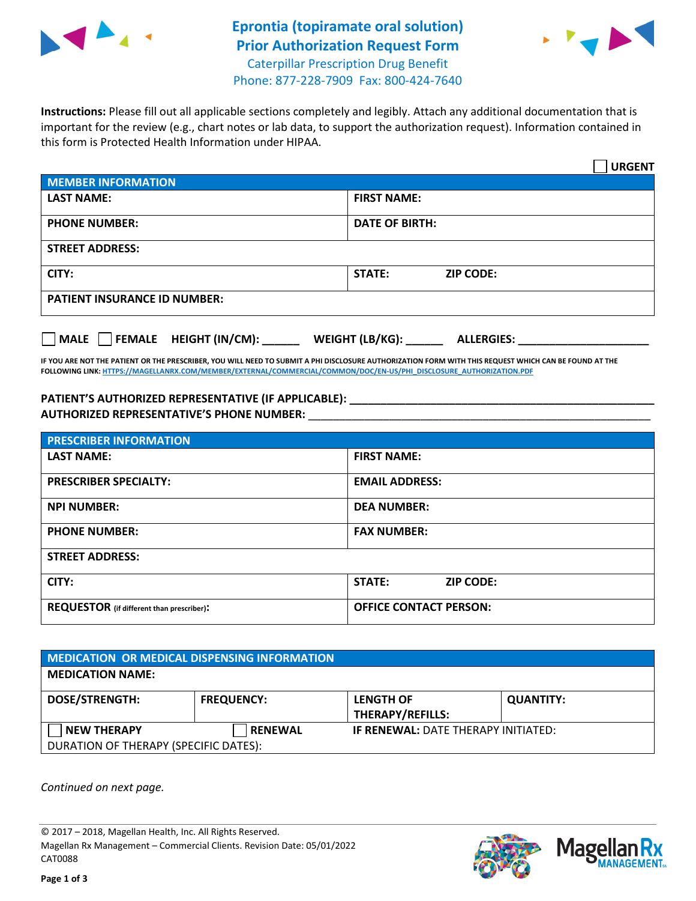

## **Eprontia (topiramate oral solution) Prior Authorization Request Form** Caterpillar Prescription Drug Benefit



Phone: 877-228-7909 Fax: 800-424-7640

**Instructions:** Please fill out all applicable sections completely and legibly. Attach any additional documentation that is important for the review (e.g., chart notes or lab data, to support the authorization request). Information contained in this form is Protected Health Information under HIPAA.

|                                     | <b>URGENT</b>                        |  |  |  |
|-------------------------------------|--------------------------------------|--|--|--|
| <b>MEMBER INFORMATION</b>           |                                      |  |  |  |
| <b>LAST NAME:</b>                   | <b>FIRST NAME:</b>                   |  |  |  |
| <b>PHONE NUMBER:</b>                | <b>DATE OF BIRTH:</b>                |  |  |  |
| <b>STREET ADDRESS:</b>              |                                      |  |  |  |
| CITY:                               | <b>ZIP CODE:</b><br>STATE:           |  |  |  |
| <b>PATIENT INSURANCE ID NUMBER:</b> |                                      |  |  |  |
| FEMALE HEIGHT (IN/CM):<br>   MALE   | WEIGHT (LB/KG):<br><b>ALLERGIES:</b> |  |  |  |

**IF YOU ARE NOT THE PATIENT OR THE PRESCRIBER, YOU WILL NEED TO SUBMIT A PHI DISCLOSURE AUTHORIZATION FORM WITH THIS REQUEST WHICH CAN BE FOUND AT THE FOLLOWING LINK[: HTTPS://MAGELLANRX.COM/MEMBER/EXTERNAL/COMMERCIAL/COMMON/DOC/EN-US/PHI\\_DISCLOSURE\\_AUTHORIZATION.PDF](https://magellanrx.com/member/external/commercial/common/doc/en-us/PHI_Disclosure_Authorization.pdf)**

**PATIENT'S AUTHORIZED REPRESENTATIVE (IF APPLICABLE): \_\_\_\_\_\_\_\_\_\_\_\_\_\_\_\_\_\_\_\_\_\_\_\_\_\_\_\_\_\_\_\_\_\_\_\_\_\_\_\_\_\_\_\_\_\_\_\_\_ AUTHORIZED REPRESENTATIVE'S PHONE NUMBER:** \_\_\_\_\_\_\_\_\_\_\_\_\_\_\_\_\_\_\_\_\_\_\_\_\_\_\_\_\_\_\_\_\_\_\_\_\_\_\_\_\_\_\_\_\_\_\_\_\_\_\_\_\_\_\_

| <b>PRESCRIBER INFORMATION</b>             |                               |  |  |  |
|-------------------------------------------|-------------------------------|--|--|--|
| <b>LAST NAME:</b>                         | <b>FIRST NAME:</b>            |  |  |  |
| <b>PRESCRIBER SPECIALTY:</b>              | <b>EMAIL ADDRESS:</b>         |  |  |  |
| <b>NPI NUMBER:</b>                        | <b>DEA NUMBER:</b>            |  |  |  |
| <b>PHONE NUMBER:</b>                      | <b>FAX NUMBER:</b>            |  |  |  |
| <b>STREET ADDRESS:</b>                    |                               |  |  |  |
| CITY:                                     | STATE:<br><b>ZIP CODE:</b>    |  |  |  |
| REQUESTOR (if different than prescriber): | <b>OFFICE CONTACT PERSON:</b> |  |  |  |

| <b>MEDICATION OR MEDICAL DISPENSING INFORMATION</b> |                   |                                                                       |                  |  |  |
|-----------------------------------------------------|-------------------|-----------------------------------------------------------------------|------------------|--|--|
| <b>MEDICATION NAME:</b>                             |                   |                                                                       |                  |  |  |
| <b>DOSE/STRENGTH:</b>                               | <b>FREQUENCY:</b> | <b>LENGTH OF</b>                                                      | <b>QUANTITY:</b> |  |  |
| <b>NEW THERAPY</b>                                  | <b>RENEWAL</b>    | <b>THERAPY/REFILLS:</b><br><b>IF RENEWAL: DATE THERAPY INITIATED:</b> |                  |  |  |
| DURATION OF THERAPY (SPECIFIC DATES):               |                   |                                                                       |                  |  |  |

*Continued on next page.*

© 2017 – 2018, Magellan Health, Inc. All Rights Reserved. Magellan Rx Management – Commercial Clients. Revision Date: 05/01/2022 CAT0088



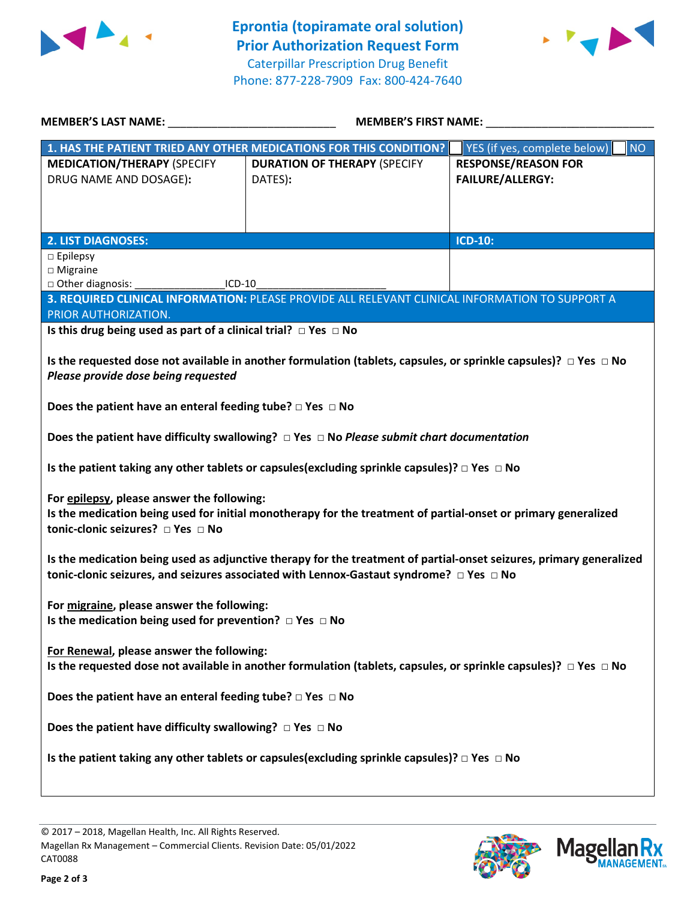



| <b>MEMBER'S LAST NAME:</b>                                                                                                                                                                                               | <b>MEMBER'S FIRST NAME:</b>                                                                             |                                                       |  |  |
|--------------------------------------------------------------------------------------------------------------------------------------------------------------------------------------------------------------------------|---------------------------------------------------------------------------------------------------------|-------------------------------------------------------|--|--|
|                                                                                                                                                                                                                          | 1. HAS THE PATIENT TRIED ANY OTHER MEDICATIONS FOR THIS CONDITION?                                      | NO<br>YES (if yes, complete below)                    |  |  |
| <b>MEDICATION/THERAPY (SPECIFY</b><br>DRUG NAME AND DOSAGE):                                                                                                                                                             | <b>DURATION OF THERAPY (SPECIFY</b><br>DATES):                                                          | <b>RESPONSE/REASON FOR</b><br><b>FAILURE/ALLERGY:</b> |  |  |
| <b>2. LIST DIAGNOSES:</b>                                                                                                                                                                                                |                                                                                                         | <b>ICD-10:</b>                                        |  |  |
| $\square$ Epilepsy<br>$\square$ Migraine<br>□ Other diagnosis:<br>$ICD-10$                                                                                                                                               | 3. REQUIRED CLINICAL INFORMATION: PLEASE PROVIDE ALL RELEVANT CLINICAL INFORMATION TO SUPPORT A         |                                                       |  |  |
| PRIOR AUTHORIZATION.                                                                                                                                                                                                     |                                                                                                         |                                                       |  |  |
| Is this drug being used as part of a clinical trial? $\Box$ Yes $\Box$ No                                                                                                                                                |                                                                                                         |                                                       |  |  |
| Is the requested dose not available in another formulation (tablets, capsules, or sprinkle capsules)? $\Box$ Yes $\Box$ No<br>Please provide dose being requested                                                        |                                                                                                         |                                                       |  |  |
| Does the patient have an enteral feeding tube? $\square$ Yes $\square$ No                                                                                                                                                |                                                                                                         |                                                       |  |  |
| Does the patient have difficulty swallowing? $\Box$ Yes $\Box$ No Please submit chart documentation                                                                                                                      |                                                                                                         |                                                       |  |  |
|                                                                                                                                                                                                                          | Is the patient taking any other tablets or capsules (excluding sprinkle capsules)? $\Box$ Yes $\Box$ No |                                                       |  |  |
| For epilepsy, please answer the following:<br>Is the medication being used for initial monotherapy for the treatment of partial-onset or primary generalized<br>tonic-clonic seizures? □ Yes □ No                        |                                                                                                         |                                                       |  |  |
| Is the medication being used as adjunctive therapy for the treatment of partial-onset seizures, primary generalized<br>tonic-clonic seizures, and seizures associated with Lennox-Gastaut syndrome? $\Box$ Yes $\Box$ No |                                                                                                         |                                                       |  |  |
| For migraine, please answer the following:<br>Is the medication being used for prevention? $\Box$ Yes $\Box$ No                                                                                                          |                                                                                                         |                                                       |  |  |
| For Renewal, please answer the following:<br>Is the requested dose not available in another formulation (tablets, capsules, or sprinkle capsules)? $\Box$ Yes $\Box$ No                                                  |                                                                                                         |                                                       |  |  |
| Does the patient have an enteral feeding tube? $\square$ Yes $\square$ No                                                                                                                                                |                                                                                                         |                                                       |  |  |
| Does the patient have difficulty swallowing? $\Box$ Yes $\Box$ No                                                                                                                                                        |                                                                                                         |                                                       |  |  |
| Is the patient taking any other tablets or capsules (excluding sprinkle capsules)? $\Box$ Yes $\Box$ No                                                                                                                  |                                                                                                         |                                                       |  |  |